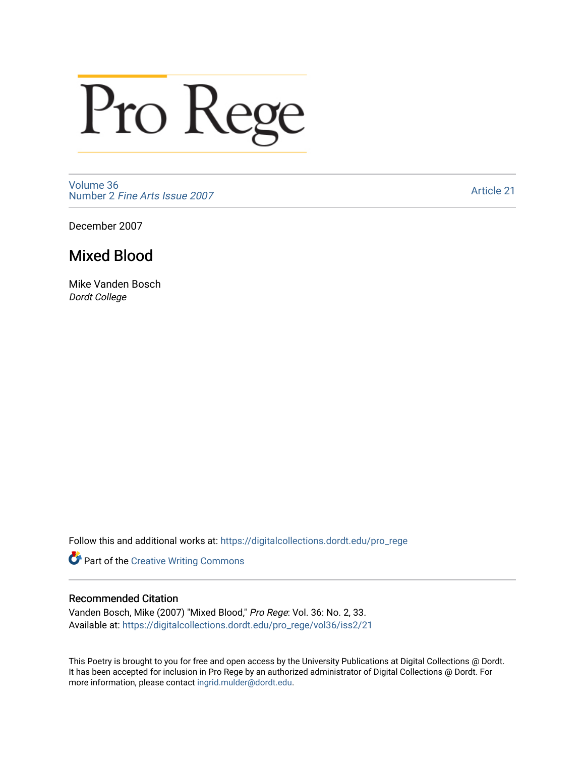## Pro Rege

[Volume 36](https://digitalcollections.dordt.edu/pro_rege/vol36) Number 2 [Fine Arts Issue 2007](https://digitalcollections.dordt.edu/pro_rege/vol36/iss2) 

[Article 21](https://digitalcollections.dordt.edu/pro_rege/vol36/iss2/21) 

December 2007

## Mixed Blood

Mike Vanden Bosch Dordt College

Follow this and additional works at: [https://digitalcollections.dordt.edu/pro\\_rege](https://digitalcollections.dordt.edu/pro_rege?utm_source=digitalcollections.dordt.edu%2Fpro_rege%2Fvol36%2Fiss2%2F21&utm_medium=PDF&utm_campaign=PDFCoverPages) 

Part of the [Creative Writing Commons](http://network.bepress.com/hgg/discipline/574?utm_source=digitalcollections.dordt.edu%2Fpro_rege%2Fvol36%2Fiss2%2F21&utm_medium=PDF&utm_campaign=PDFCoverPages) 

## Recommended Citation

Vanden Bosch, Mike (2007) "Mixed Blood," Pro Rege: Vol. 36: No. 2, 33. Available at: [https://digitalcollections.dordt.edu/pro\\_rege/vol36/iss2/21](https://digitalcollections.dordt.edu/pro_rege/vol36/iss2/21?utm_source=digitalcollections.dordt.edu%2Fpro_rege%2Fvol36%2Fiss2%2F21&utm_medium=PDF&utm_campaign=PDFCoverPages)

This Poetry is brought to you for free and open access by the University Publications at Digital Collections @ Dordt. It has been accepted for inclusion in Pro Rege by an authorized administrator of Digital Collections @ Dordt. For more information, please contact [ingrid.mulder@dordt.edu.](mailto:ingrid.mulder@dordt.edu)